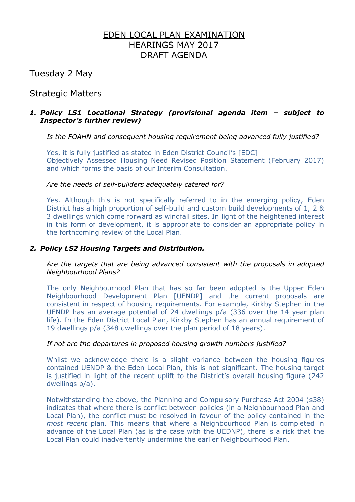# EDEN LOCAL PLAN EXAMINATION HEARINGS MAY 2017 DRAFT AGENDA

Tuesday 2 May

# Strategic Matters

# *1. Policy LS1 Locational Strategy (provisional agenda item – subject to Inspector's further review)*

*Is the FOAHN and consequent housing requirement being advanced fully justified?*

Yes, it is fully justified as stated in Eden District Council's [EDC] Objectively Assessed Housing Need Revised Position Statement (February 2017) and which forms the basis of our Interim Consultation.

### *Are the needs of self-builders adequately catered for?*

Yes. Although this is not specifically referred to in the emerging policy, Eden District has a high proportion of self-build and custom build developments of 1, 2 & 3 dwellings which come forward as windfall sites. In light of the heightened interest in this form of development, it is appropriate to consider an appropriate policy in the forthcoming review of the Local Plan.

# *2. Policy LS2 Housing Targets and Distribution.*

*Are the targets that are being advanced consistent with the proposals in adopted Neighbourhood Plans?*

The only Neighbourhood Plan that has so far been adopted is the Upper Eden Neighbourhood Development Plan [UENDP] and the current proposals are consistent in respect of housing requirements. For example, Kirkby Stephen in the UENDP has an average potential of 24 dwellings p/a (336 over the 14 year plan life). In the Eden District Local Plan, Kirkby Stephen has an annual requirement of 19 dwellings p/a (348 dwellings over the plan period of 18 years).

### *If not are the departures in proposed housing growth numbers justified?*

Whilst we acknowledge there is a slight variance between the housing figures contained UENDP & the Eden Local Plan, this is not significant. The housing target is justified in light of the recent uplift to the District's overall housing figure (242 dwellings p/a).

Notwithstanding the above, the Planning and Compulsory Purchase Act 2004 (s38) indicates that where there is conflict between policies (in a Neighbourhood Plan and Local Plan), the conflict must be resolved in favour of the policy contained in the *most recent* plan. This means that where a Neighbourhood Plan is completed in advance of the Local Plan (as is the case with the UEDNP), there is a risk that the Local Plan could inadvertently undermine the earlier Neighbourhood Plan.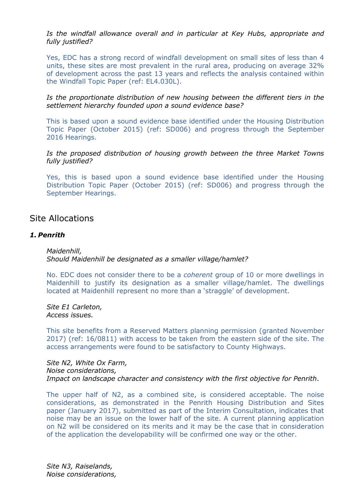*Is the windfall allowance overall and in particular at Key Hubs, appropriate and fully justified?*

Yes, EDC has a strong record of windfall development on small sites of less than 4 units, these sites are most prevalent in the rural area, producing on average 32% of development across the past 13 years and reflects the analysis contained within the Windfall Topic Paper (ref: EL4.030L).

*Is the proportionate distribution of new housing between the different tiers in the settlement hierarchy founded upon a sound evidence base?*

This is based upon a sound evidence base identified under the Housing Distribution Topic Paper (October 2015) (ref: SD006) and progress through the September 2016 Hearings.

*Is the proposed distribution of housing growth between the three Market Towns fully justified?*

Yes, this is based upon a sound evidence base identified under the Housing Distribution Topic Paper (October 2015) (ref: SD006) and progress through the September Hearings.

# Site Allocations

#### *1. Penrith*

*Maidenhill, Should Maidenhill be designated as a smaller village/hamlet?* 

No. EDC does not consider there to be a *coherent* group of 10 or more dwellings in Maidenhill to justify its designation as a smaller village/hamlet. The dwellings located at Maidenhill represent no more than a 'straggle' of development.

*Site E1 Carleton, Access issues.*

This site benefits from a Reserved Matters planning permission (granted November 2017) (ref: 16/0811) with access to be taken from the eastern side of the site. The access arrangements were found to be satisfactory to County Highways.

*Site N2, White Ox Farm, Noise considerations, Impact on landscape character and consistency with the first objective for Penrith*.

The upper half of N2, as a combined site, is considered acceptable. The noise considerations, as demonstrated in the Penrith Housing Distribution and Sites paper (January 2017), submitted as part of the Interim Consultation, indicates that noise may be an issue on the lower half of the site. A current planning application on N2 will be considered on its merits and it may be the case that in consideration of the application the developability will be confirmed one way or the other.

*Site N3, Raiselands, Noise considerations,*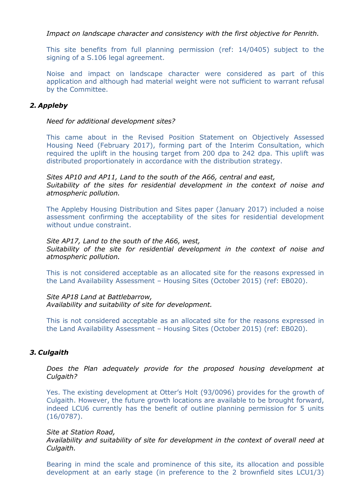*Impact on landscape character and consistency with the first objective for Penrith.*

This site benefits from full planning permission (ref: 14/0405) subject to the signing of a S.106 legal agreement.

Noise and impact on landscape character were considered as part of this application and although had material weight were not sufficient to warrant refusal by the Committee.

### *2. Appleby*

#### *Need for additional development sites?*

This came about in the Revised Position Statement on Objectively Assessed Housing Need (February 2017), forming part of the Interim Consultation, which required the uplift in the housing target from 200 dpa to 242 dpa. This uplift was distributed proportionately in accordance with the distribution strategy.

*Sites AP10 and AP11, Land to the south of the A66, central and east, Suitability of the sites for residential development in the context of noise and atmospheric pollution.* 

The Appleby Housing Distribution and Sites paper (January 2017) included a noise assessment confirming the acceptability of the sites for residential development without undue constraint.

*Site AP17, Land to the south of the A66, west, Suitability of the site for residential development in the context of noise and atmospheric pollution.*

This is not considered acceptable as an allocated site for the reasons expressed in the Land Availability Assessment – Housing Sites (October 2015) (ref: EB020).

*Site AP18 Land at Battlebarrow, Availability and suitability of site for development.*

This is not considered acceptable as an allocated site for the reasons expressed in the Land Availability Assessment – Housing Sites (October 2015) (ref: EB020).

#### *3. Culgaith*

*Does the Plan adequately provide for the proposed housing development at Culgaith?*

Yes. The existing development at Otter's Holt (93/0096) provides for the growth of Culgaith. However, the future growth locations are available to be brought forward, indeed LCU6 currently has the benefit of outline planning permission for 5 units (16/0787).

*Site at Station Road,*

*Availability and suitability of site for development in the context of overall need at Culgaith.*

Bearing in mind the scale and prominence of this site, its allocation and possible development at an early stage (in preference to the 2 brownfield sites LCU1/3)